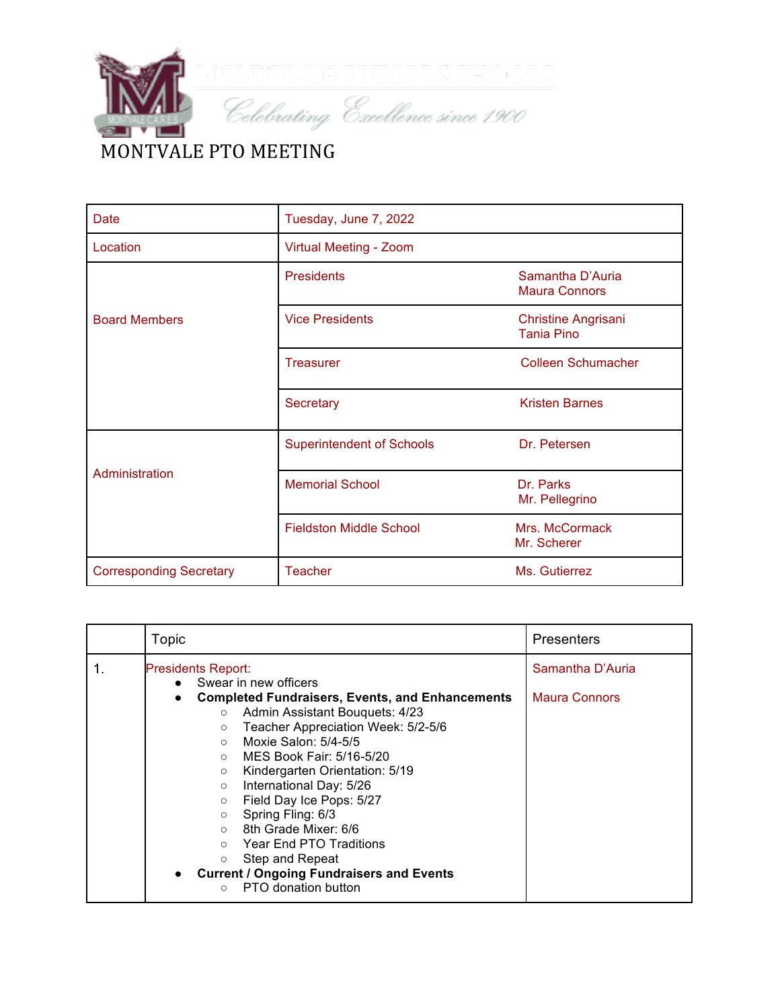

| <b>Date</b>                    | Tuesday, June 7, 2022            |                                                 |  |
|--------------------------------|----------------------------------|-------------------------------------------------|--|
| Location                       | Virtual Meeting - Zoom           |                                                 |  |
|                                | <b>Presidents</b>                | Samantha D'Auria<br><b>Maura Connors</b>        |  |
| <b>Board Members</b>           | <b>Vice Presidents</b>           | <b>Christine Angrisani</b><br><b>Tania Pino</b> |  |
|                                | <b>Treasurer</b>                 | <b>Colleen Schumacher</b>                       |  |
|                                | Secretary                        | <b>Kristen Barnes</b>                           |  |
| Administration                 | <b>Superintendent of Schools</b> | Dr. Petersen                                    |  |
|                                | <b>Memorial School</b>           | Dr. Parks<br>Mr. Pellegrino                     |  |
|                                | <b>Fieldston Middle School</b>   | Mrs. McCormack<br>Mr. Scherer                   |  |
| <b>Corresponding Secretary</b> | <b>Teacher</b>                   | Ms. Gutierrez                                   |  |

|    | Topic                                                                                                                                                                                                                                                                                                                                                                                                                                                                                                                                                                              | <b>Presenters</b>                        |
|----|------------------------------------------------------------------------------------------------------------------------------------------------------------------------------------------------------------------------------------------------------------------------------------------------------------------------------------------------------------------------------------------------------------------------------------------------------------------------------------------------------------------------------------------------------------------------------------|------------------------------------------|
| 1. | <b>Presidents Report:</b><br>• Swear in new officers<br><b>Completed Fundraisers, Events, and Enhancements</b><br>Admin Assistant Bouquets: 4/23<br>$\circ$<br>Teacher Appreciation Week: 5/2-5/6<br>$\circ$<br>Moxie Salon: 5/4-5/5<br>$\circ$<br>$\circ$ MES Book Fair: 5/16-5/20<br>Kindergarten Orientation: 5/19<br>$\circ$<br>International Day: 5/26<br>$\circ$<br>Field Day Ice Pops: 5/27<br>$\circ$<br>○ Spring Fling: 6/3<br>$\circ$ 8th Grade Mixer: 6/6<br>○ Year End PTO Traditions<br>Step and Repeat<br>$\circ$<br><b>Current / Ongoing Fundraisers and Events</b> | Samantha D'Auria<br><b>Maura Connors</b> |
|    | PTO donation button<br>$\circ$                                                                                                                                                                                                                                                                                                                                                                                                                                                                                                                                                     |                                          |